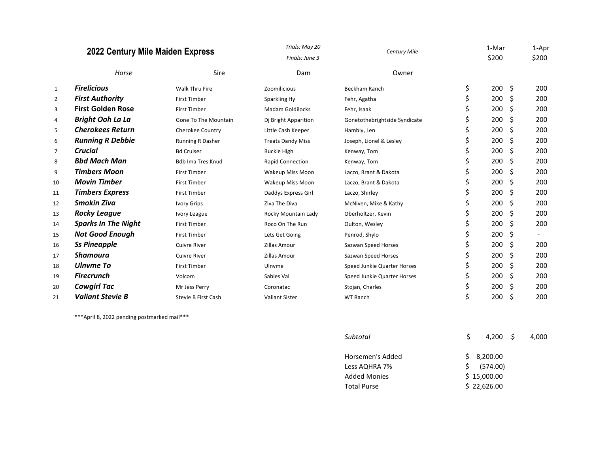|                | 2022 Century Mile Maiden Express |                            | Trials: May 20           | <b>Century Mile</b>           |    |            |    | 1-Apr |
|----------------|----------------------------------|----------------------------|--------------------------|-------------------------------|----|------------|----|-------|
|                |                                  |                            | Finals: June 3           |                               |    | \$200      |    | \$200 |
|                | Horse                            | Sire                       | Dam                      | Owner                         |    |            |    |       |
| $\mathbf{1}$   | <b>Firelicious</b>               | <b>Walk Thru Fire</b>      | Zoomilicious             | <b>Beckham Ranch</b>          | \$ | $200 \div$ |    | 200   |
| $\overline{2}$ | <b>First Authority</b>           | <b>First Timber</b>        | Sparkling Hy             | Fehr, Agatha                  | \$ | 200        | \$ | 200   |
| 3              | <b>First Golden Rose</b>         | <b>First Timber</b>        | <b>Madam Goldilocks</b>  | Fehr, Isaak                   | \$ | 200        | \$ | 200   |
| 4              | <b>Bright Ooh La La</b>          | Gone To The Mountain       | Dj Bright Apparition     | Gonetothebrightside Syndicate | \$ | 200        | \$ | 200   |
| 5              | <b>Cherokees Return</b>          | Cherokee Country           | Little Cash Keeper       | Hambly, Len                   | \$ | 200        | \$ | 200   |
| 6              | <b>Running R Debbie</b>          | <b>Running R Dasher</b>    | <b>Treats Dandy Miss</b> | Joseph, Lionel & Lesley       | \$ | 200        | \$ | 200   |
| 7              | <b>Crucial</b>                   | <b>Bd Cruiser</b>          | <b>Buckle High</b>       | Kenway, Tom                   | \$ | 200        | \$ | 200   |
| 8              | <b>Bbd Mach Man</b>              | <b>Bdb Ima Tres Knud</b>   | <b>Rapid Connection</b>  | Kenway, Tom                   |    | 200        | Ŝ. | 200   |
| 9              | <b>Timbers Moon</b>              | <b>First Timber</b>        | Wakeup Miss Moon         | Laczo, Brant & Dakota         |    | 200        | \$ | 200   |
| 10             | <b>Movin Timber</b>              | <b>First Timber</b>        | Wakeup Miss Moon         | Laczo, Brant & Dakota         |    | 200        | Ś. | 200   |
| 11             | <b>Timbers Express</b>           | <b>First Timber</b>        | Daddys Express Girl      | Laczo, Shirley                |    | 200        | \$ | 200   |
| 12             | <b>Smokin Ziva</b>               | Ivory Grips                | Ziva The Diva            | McNiven, Mike & Kathy         |    | 200        | \$ | 200   |
| 13             | <b>Rocky League</b>              | Ivory League               | Rocky Mountain Lady      | Oberholtzer, Kevin            |    | 200        | \$ | 200   |
| 14             | <b>Sparks In The Night</b>       | <b>First Timber</b>        | Roco On The Run          | Oulton, Wesley                |    | 200        | \$ | 200   |
| 15             | <b>Not Good Enough</b>           | <b>First Timber</b>        | Lets Get Going           | Penrod, Shylo                 |    | 200        | \$ |       |
| 16             | <b>Ss Pineapple</b>              | <b>Cuivre River</b>        | <b>Zillas Amour</b>      | Sazwan Speed Horses           |    | 200        | \$ | 200   |
| 17             | Shamoura                         | <b>Cuivre River</b>        | <b>Zillas Amour</b>      | Sazwan Speed Horses           |    | 200        | \$ | 200   |
| 18             | Ulnyme To                        | <b>First Timber</b>        | Ulnvme                   | Speed Junkie Quarter Horses   |    | 200        | \$ | 200   |
| 19             | <b>Firecrunch</b>                | Volcom                     | Sables Val               | Speed Junkie Quarter Horses   |    | 200        | \$ | 200   |
| 20             | <b>Cowgirl Tac</b>               | Mr Jess Perry              | Coronatac                | Stojan, Charles               |    | 200        | \$ | 200   |
| 21             | <b>Valiant Stevie B</b>          | <b>Stevie B First Cash</b> | <b>Valiant Sister</b>    | <b>WT Ranch</b>               |    | 200        | \$ | 200   |

\*\*\*April 8, 2022 pending postmarked mail\*\*\*

| Subtotal            | S<br>4.200 S | 4.000 |
|---------------------|--------------|-------|
| Horsemen's Added    | \$3,200.00   |       |
| Less AQHRA 7%       | 5(574.00)    |       |
| <b>Added Monies</b> | \$15,000.00  |       |
| <b>Total Purse</b>  | \$22,626.00  |       |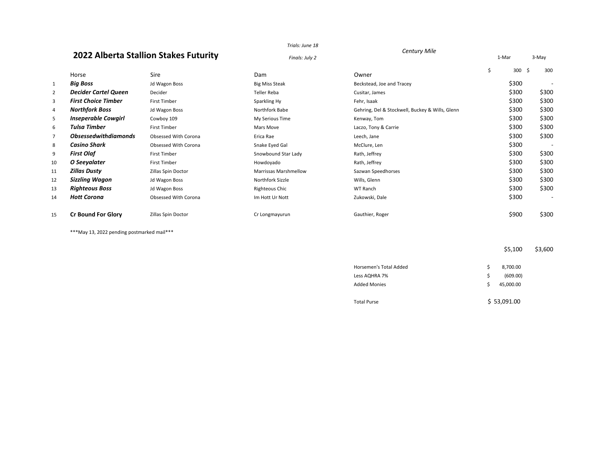# *Century Mile* **2022 Alberta Stallion Stakes Futurity**

*Trials: June 18*

|                | CLILL FILL |       |       |
|----------------|------------|-------|-------|
| Finals: July 2 |            | 1-Mar | 3-May |

|                |                             |                      |                              |                                                 | $300 \div$ | 300                      |
|----------------|-----------------------------|----------------------|------------------------------|-------------------------------------------------|------------|--------------------------|
|                | Horse                       | Sire                 | Dam                          | Owner                                           |            |                          |
| $\mathbf{1}$   | <b>Big Boss</b>             | Jd Wagon Boss        | <b>Big Miss Steak</b>        | Beckstead, Joe and Tracey                       | \$300      | $\overline{\phantom{a}}$ |
| $\overline{2}$ | <b>Decider Cartel Queen</b> | Decider              | <b>Teller Reba</b>           | Cusitar, James                                  | \$300      | \$300                    |
| 3              | <b>First Choice Timber</b>  | First Timber         | Sparkling Hy                 | Fehr, Isaak                                     | \$300      | \$300                    |
| 4              | <b>Northfork Boss</b>       | Jd Wagon Boss        | Northfork Babe               | Gehring, Del & Stockwell, Buckey & Wills, Glenn | \$300      | \$300                    |
| 5              | <b>Inseperable Cowgirl</b>  | Cowboy 109           | My Serious Time              | Kenway, Tom                                     | \$300      | \$300                    |
| 6              | Tulsa Timber                | <b>First Timber</b>  | Mars Move                    | Laczo, Tony & Carrie                            | \$300      | \$300                    |
| 7              | <b>Obsessedwithdiamonds</b> | Obsessed With Corona | Erica Rae                    | Leech, Jane                                     | \$300      | \$300                    |
| 8              | Casino Shark                | Obsessed With Corona | Snake Eyed Gal               | McClure, Len                                    | \$300      | ٠                        |
| 9              | <b>First Olaf</b>           | First Timber         | Snowbound Star Lady          | Rath, Jeffrey                                   | \$300      | \$300                    |
| 10             | O Seevalater                | <b>First Timber</b>  | Howdoyado                    | Rath, Jeffrey                                   | \$300      | \$300                    |
| 11             | Zillas Dusty                | Zillas Spin Doctor   | <b>Marrissas Marshmellow</b> | Sazwan Speedhorses                              | \$300      | \$300                    |
| 12             | <b>Sizzling Wagon</b>       | Jd Wagon Boss        | Northfork Sizzle             | Wills, Glenn                                    | \$300      | \$300                    |
| 13             | <b>Righteous Boss</b>       | Jd Wagon Boss        | Righteous Chic               | WT Ranch                                        | \$300      | \$300                    |
| 14             | <b>Hott Corona</b>          | Obsessed With Corona | Im Hott Ur Nott              | Zukowski, Dale                                  | \$300      | $\overline{\phantom{a}}$ |
| 15             | <b>Cr Bound For Glory</b>   | Zillas Spin Doctor   | Cr Longmayurun               | Gauthier, Roger                                 | \$900      | \$300                    |

\*\*\*May 13, 2022 pending postmarked mail\*\*\*

\$5,100 \$3,600

| Horsemen's Total Added | s  | 8,700.00    |  |  |
|------------------------|----|-------------|--|--|
| Less AQHRA 7%          | S. | (609.00)    |  |  |
| <b>Added Monies</b>    | ς  | 45.000.00   |  |  |
|                        |    |             |  |  |
| <b>Total Purse</b>     |    | \$53,091.00 |  |  |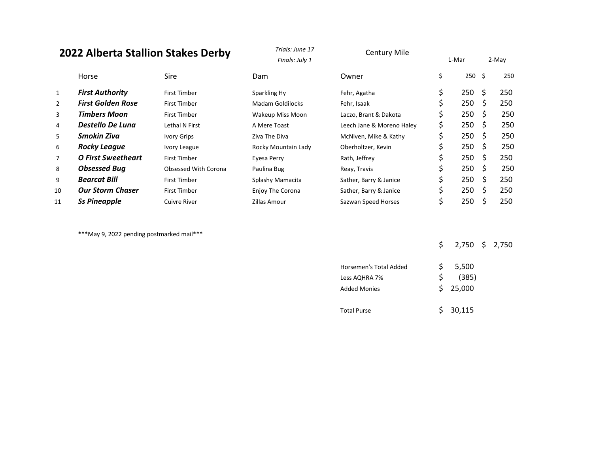# **2022 Alberta Stallion Stakes Derby**

| <b>2022 Alberta Stallion Stakes Derby</b> |                          | Trials: June 17<br>Finals: July 1 | <b>Century Mile</b>     | 1-Mar                     |                   | 2-May |     |
|-------------------------------------------|--------------------------|-----------------------------------|-------------------------|---------------------------|-------------------|-------|-----|
|                                           | Horse                    | Sire                              | <b>Dam</b>              | Owner                     | \$<br>$250 \pm 5$ |       | 250 |
| 1                                         | <b>First Authority</b>   | First Timber                      | Sparkling Hy            | Fehr, Agatha              | \$<br>250         | S     | 250 |
| $\overline{2}$                            | <b>First Golden Rose</b> | First Timber                      | Madam Goldilocks        | Fehr, Isaak               | \$<br>250         | -S    | 250 |
| 3                                         | <b>Timbers Moon</b>      | First Timber                      | Wakeup Miss Moon        | Laczo, Brant & Dakota     | \$<br>250         | -S    | 250 |
| 4                                         | Destello De Luna         | Lethal N First                    | A Mere Toast            | Leech Jane & Moreno Haley | \$<br>250         | -S    | 250 |
| 5                                         | Smokin Ziva              | Ivory Grips                       | Ziva The Diva           | McNiven, Mike & Kathy     | \$<br>250         | -S    | 250 |
| 6                                         | <b>Rocky League</b>      | Ivory League                      | Rocky Mountain Lady     | Oberholtzer, Kevin        | 250               | -Ŝ    | 250 |
| $\overline{7}$                            | O First Sweetheart       | First Timber                      | Eyesa Perry             | Rath, Jeffrey             | \$<br>250         | -S    | 250 |
| 8                                         | <b>Obsessed Bug</b>      | Obsessed With Corona              | Paulina Bug             | Reay, Travis              | \$<br>250         | -S    | 250 |
| 9                                         | <b>Bearcat Bill</b>      | First Timber                      | Splashy Mamacita        | Sather, Barry & Janice    | \$<br>250         | - Ś   | 250 |
| 10                                        | <b>Our Storm Chaser</b>  | First Timber                      | <b>Enjoy The Corona</b> | Sather, Barry & Janice    | \$<br>250         | - S   | 250 |
| 11                                        | <b>Ss Pineapple</b>      | Cuivre River                      | Zillas Amour            | Sazwan Speed Horses       | 250               |       | 250 |

*Trials: June 17*

\*\*\*May 9, 2022 pending postmarked mail\*\*\*

\$ 2,750 \$ 2,750

| Horsemen's Total Added |    | 5,500    |
|------------------------|----|----------|
| Less AQHRA 7%          | S. | (385)    |
| <b>Added Monies</b>    |    | \$25,000 |
|                        |    |          |
| <b>Total Purse</b>     |    | \$30,115 |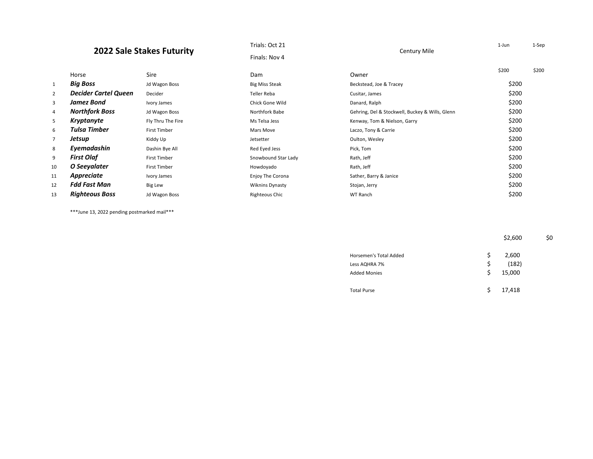## **2022 Sale Stakes Futurity**

|                |                             | Finals: Nov 4       |                        |                                                 |       |       |
|----------------|-----------------------------|---------------------|------------------------|-------------------------------------------------|-------|-------|
|                | Horse                       | Sire                | Dam                    | Owner                                           | \$200 | \$200 |
| 1              | <b>Big Boss</b>             | Jd Wagon Boss       | <b>Big Miss Steak</b>  | Beckstead, Joe & Tracey                         | \$200 |       |
| $\overline{2}$ | <b>Decider Cartel Queen</b> | Decider             | Teller Reba            | Cusitar, James                                  | \$200 |       |
| 3              | Jamez Bond                  | Ivory James         | Chick Gone Wild        | Danard, Ralph                                   | \$200 |       |
| 4              | <b>Northfork Boss</b>       | Jd Wagon Boss       | Northfork Babe         | Gehring, Del & Stockwell, Buckey & Wills, Glenn | \$200 |       |
| 5              | Kryptanyte                  | Fly Thru The Fire   | Ms Telsa Jess          | Kenway, Tom & Nielson, Garry                    | \$200 |       |
| 6              | Tulsa Timber                | <b>First Timber</b> | Mars Move              | Laczo, Tony & Carrie                            | \$200 |       |
| 7              | Jetsup                      | Kiddy Up            | Jetsetter              | Oulton, Wesley                                  | \$200 |       |
| 8              | Eyemadashin                 | Dashin Bye All      | Red Eyed Jess          | Pick, Tom                                       | \$200 |       |
| 9              | <b>First Olaf</b>           | <b>First Timber</b> | Snowbound Star Lady    | Rath, Jeff                                      | \$200 |       |
| 10             | O Seeyalater                | <b>First Timber</b> | Howdoyado              | Rath, Jeff                                      | \$200 |       |
| 11             | Appreciate                  | Ivory James         | Enjoy The Corona       | Sather, Barry & Janice                          | \$200 |       |
| 12             | <b>Fdd Fast Man</b>         | Big Lew             | <b>Wiknins Dynasty</b> | Stojan, Jerry                                   | \$200 |       |
| 13             | <b>Righteous Boss</b>       | Jd Wagon Boss       | Righteous Chic         | WT Ranch                                        | \$200 |       |

\*\*\*June 13, 2022 pending postmarked mail\*\*\*

\$2,600 \$0

| Horsemen's Total Added | s  | 2,600  |
|------------------------|----|--------|
| Less AQHRA 7%          | Ś  | (182)  |
| <b>Added Monies</b>    | Ś  | 15,000 |
| <b>Total Purse</b>     | S. | 17,418 |

Trials: Oct 21 1-Jun 1-Sep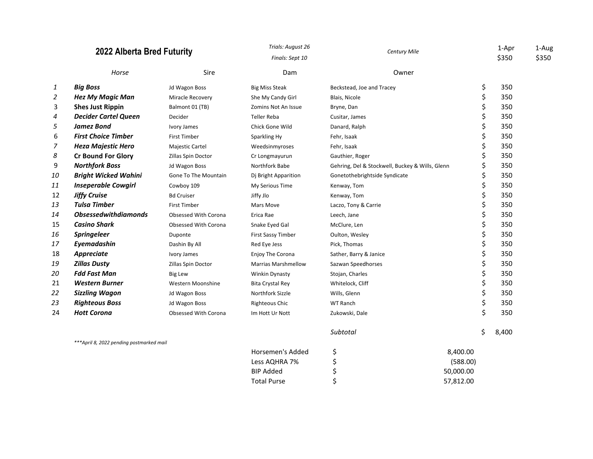|    | 2022 Alberta Bred Futurity                |                             | Trials: August 26<br>Finals: Sept 10 | <b>Century Mile</b>                             |          |       | 1-Aug<br>\$350 |
|----|-------------------------------------------|-----------------------------|--------------------------------------|-------------------------------------------------|----------|-------|----------------|
|    | Horse                                     | Sire                        | Dam                                  | Owner                                           |          |       |                |
| 1  | <b>Big Boss</b>                           | Jd Wagon Boss               | <b>Big Miss Steak</b>                | Beckstead, Joe and Tracey                       | \$       | 350   |                |
| 2  | <b>Hez My Magic Man</b>                   | Miracle Recovery            | She My Candy Girl                    | Blais, Nicole                                   | \$       | 350   |                |
| 3  | <b>Shes Just Rippin</b>                   | Balmont 01 (TB)             | Zomins Not An Issue                  | Bryne, Dan                                      | \$       | 350   |                |
| 4  | <b>Decider Cartel Queen</b>               | Decider                     | <b>Teller Reba</b>                   | Cusitar, James                                  | \$       | 350   |                |
| 5  | <b>Jamez Bond</b>                         | Ivory James                 | Chick Gone Wild                      | Danard, Ralph                                   | \$       | 350   |                |
| 6  | <b>First Choice Timber</b>                | <b>First Timber</b>         | Sparkling Hy                         | Fehr, Isaak                                     | \$       | 350   |                |
| 7  | <b>Heza Majestic Hero</b>                 | <b>Majestic Cartel</b>      | Weedsinmyroses                       | Fehr, Isaak                                     | \$       | 350   |                |
| 8  | <b>Cr Bound For Glory</b>                 | Zillas Spin Doctor          | Cr Longmayurun                       | Gauthier, Roger                                 | \$       | 350   |                |
| 9  | <b>Northfork Boss</b>                     | Jd Wagon Boss               | Northfork Babe                       | Gehring, Del & Stockwell, Buckey & Wills, Glenn | \$       | 350   |                |
| 10 | <b>Bright Wicked Wahini</b>               | <b>Gone To The Mountain</b> | Dj Bright Apparition                 | Gonetothebrightside Syndicate                   | \$       | 350   |                |
| 11 | <b>Inseperable Cowgirl</b>                | Cowboy 109                  | My Serious Time                      | Kenway, Tom                                     | \$       | 350   |                |
| 12 | <b>Jiffy Cruise</b>                       | <b>Bd Cruiser</b>           | Jiffy Jlo                            | Kenway, Tom                                     | \$       | 350   |                |
| 13 | <b>Tulsa Timber</b>                       | <b>First Timber</b>         | Mars Move                            | Laczo, Tony & Carrie                            | \$       | 350   |                |
| 14 | <b>Obsessedwithdiamonds</b>               | Obsessed With Corona        | Erica Rae                            | Leech, Jane                                     | \$       | 350   |                |
| 15 | <b>Casino Shark</b>                       | Obsessed With Corona        | Snake Eyed Gal                       | McClure, Len                                    | \$       | 350   |                |
| 16 | <b>Springeleer</b>                        | Duponte                     | First Sassy Timber                   | Oulton, Wesley                                  | \$       | 350   |                |
| 17 | Eyemadashin                               | Dashin By All               | Red Eye Jess                         | Pick, Thomas                                    | \$       | 350   |                |
| 18 | Appreciate                                | Ivory James                 | Enjoy The Corona                     | Sather, Barry & Janice                          | \$       | 350   |                |
| 19 | <b>Zillas Dusty</b>                       | Zillas Spin Doctor          | <b>Marrias Marshmellow</b>           | Sazwan Speedhorses                              | \$       | 350   |                |
| 20 | <b>Fdd Fast Man</b>                       | <b>Big Lew</b>              | <b>Winkin Dynasty</b>                | Stojan, Charles                                 | \$       | 350   |                |
| 21 | <b>Western Burner</b>                     | Western Moonshine           | <b>Bita Crystal Rey</b>              | Whitelock, Cliff                                | \$       | 350   |                |
| 22 | <b>Sizzling Wagon</b>                     | Jd Wagon Boss               | Northfork Sizzle                     | Wills, Glenn                                    | \$       | 350   |                |
| 23 | <b>Righteous Boss</b>                     | Jd Wagon Boss               | Righteous Chic                       | <b>WT Ranch</b>                                 | \$       | 350   |                |
| 24 | <b>Hott Corona</b>                        | Obsessed With Corona        | Im Hott Ur Nott                      | Zukowski, Dale                                  | \$       | 350   |                |
|    |                                           |                             |                                      | Subtotal                                        | Ś.       | 8,400 |                |
|    | *** April 8, 2022 pending postmarked mail |                             | Horsemen's Added                     | \$                                              | 8,400.00 |       |                |

| Horsemen's Added   | 8.400.00  |
|--------------------|-----------|
| Less AQHRA 7%      | (588.00)  |
| BIP Added          | 50.000.00 |
| <b>Total Purse</b> | 57.812.00 |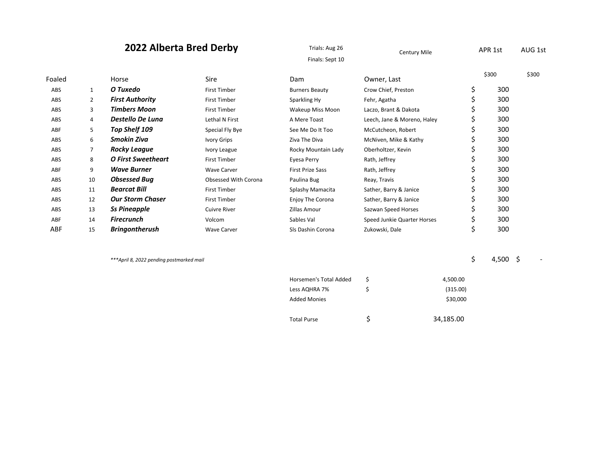| 2022 Alberta Bred Derby |                | Trials: Aug 26<br>Century Mile<br>Finals: Sept 10 |                      | APR 1st                       |                             | AUG 1st  |                |       |
|-------------------------|----------------|---------------------------------------------------|----------------------|-------------------------------|-----------------------------|----------|----------------|-------|
| Foaled                  |                | Horse                                             | <b>Sire</b>          | Dam                           | Owner, Last                 |          | \$300          | \$300 |
| ABS                     | $\mathbf{1}$   | O Tuxedo                                          | <b>First Timber</b>  | <b>Burners Beauty</b>         | Crow Chief, Preston         |          | \$<br>300      |       |
| ABS                     | $\overline{2}$ | <b>First Authority</b>                            | <b>First Timber</b>  | Sparkling Hy                  | Fehr, Agatha                |          | \$<br>300      |       |
| ABS                     | 3              | <b>Timbers Moon</b>                               | <b>First Timber</b>  | Wakeup Miss Moon              | Laczo, Brant & Dakota       |          | \$<br>300      |       |
| ABS                     | 4              | Destello De Luna                                  | Lethal N First       | A Mere Toast                  | Leech, Jane & Moreno, Haley |          | \$<br>300      |       |
| ABF                     | 5              | Top Shelf 109                                     | Special Fly Bye      | See Me Do It Too              | McCutcheon, Robert          |          | \$<br>300      |       |
| ABS                     | 6              | <b>Smokin Ziva</b>                                | Ivory Grips          | Ziva The Diva                 | McNiven, Mike & Kathy       |          | \$<br>300      |       |
| ABS                     | 7              | <b>Rocky League</b>                               | Ivory League         | Rocky Mountain Lady           | Oberholtzer, Kevin          |          | \$<br>300      |       |
| ABS                     | 8              | <b>O First Sweetheart</b>                         | <b>First Timber</b>  | Eyesa Perry                   | Rath, Jeffrey               |          | \$<br>300      |       |
| ABF                     | 9              | <b>Wave Burner</b>                                | <b>Wave Carver</b>   | <b>First Prize Sass</b>       | Rath, Jeffrey               |          | 300            |       |
| ABS                     | 10             | <b>Obsessed Bug</b>                               | Obsessed With Corona | Paulina Bug                   | Reay, Travis                |          | \$<br>300      |       |
| ABS                     | 11             | <b>Bearcat Bill</b>                               | <b>First Timber</b>  | Splashy Mamacita              | Sather, Barry & Janice      |          | \$<br>300      |       |
| ABS                     | 12             | <b>Our Storm Chaser</b>                           | <b>First Timber</b>  | Enjoy The Corona              | Sather, Barry & Janice      |          | \$<br>300      |       |
| ABS                     | 13             | <b>Ss Pineapple</b>                               | <b>Cuivre River</b>  | Zillas Amour                  | Sazwan Speed Horses         |          | \$<br>300      |       |
| ABF                     | 14             | <b>Firecrunch</b>                                 | Volcom               | Sables Val                    | Speed Junkie Quarter Horses |          | \$<br>300      |       |
| ABF                     | 15             | <b>Bringontherush</b>                             | <b>Wave Carver</b>   | SIs Dashin Corona             | Zukowski, Dale              |          | \$<br>300      |       |
|                         |                | ***April 8, 2022 pending postmarked mail          |                      |                               |                             |          | \$<br>4,500 \$ |       |
|                         |                |                                                   |                      | <b>Horsemen's Total Added</b> | Ś                           | 4.500.00 |                |       |

| Horsemen's Total Added | 4,500.00  |
|------------------------|-----------|
| Less AQHRA 7%          | (315.00)  |
| <b>Added Monies</b>    | \$30,000  |
| <b>Total Purse</b>     | 34,185.00 |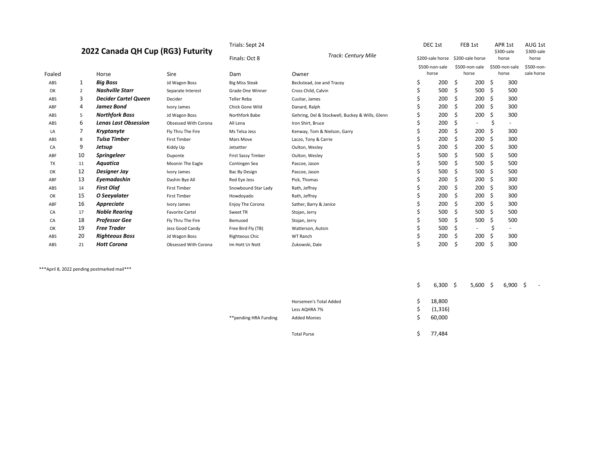#### **2022 Canada QH Cup (RG3) Futurity**

|        | 2022 Canada QH Cup (RG3) Futurity |                             |                        | Track: Century Mile<br>Finals: Oct 8 |                                                 | \$200-sale horse \$200-sale horse |                |       |                          |     | \$300-sale<br>horse      | \$300-sale<br>horse |
|--------|-----------------------------------|-----------------------------|------------------------|--------------------------------------|-------------------------------------------------|-----------------------------------|----------------|-------|--------------------------|-----|--------------------------|---------------------|
|        |                                   |                             |                        |                                      |                                                 |                                   | \$500-non-sale |       | \$500-non-sale           |     | \$500-non-sale           | \$500-non-          |
| Foaled |                                   | Horse                       | Sire                   | Dam                                  | Owner                                           |                                   | horse          | horse |                          |     | horse                    | sale horse          |
| ABS    | 1                                 | <b>Big Boss</b>             | Jd Wagon Boss          | <b>Big Miss Steak</b>                | Beckstead, Joe and Tracey                       | Ś                                 | 200            | \$    | 200                      | Ŝ.  | 300                      |                     |
| OK     | 2                                 | <b>Nashville Starr</b>      | Separate Interest      | Grade One Winner                     | Cross Child, Calvin                             |                                   | 500            | Ŝ     | 500                      | -\$ | 500                      |                     |
| ABS    | 3                                 | <b>Decider Cartel Queen</b> | Decider                | <b>Teller Reba</b>                   | Cusitar, James                                  |                                   | 200            | Ŝ     | 200                      | S   | 300                      |                     |
| ABF    | 4                                 | Jamez Bond                  | Ivory James            | Chick Gone Wild                      | Danard, Ralph                                   |                                   | 200            | Ŝ     | 200                      | S   | 300                      |                     |
| ABS    | 5                                 | <b>Northfork Boss</b>       | Jd Wagon Boss          | Northfork Babe                       | Gehring, Del & Stockwell, Buckey & Wills, Glenn |                                   | 200            | S     | 200                      |     | 300                      |                     |
| ABS    | 6                                 | <b>Lenas Last Obsession</b> | Obsessed With Corona   | All Lena                             | Iron Shirt, Bruce                               |                                   | 200            | \$.   | $\overline{\phantom{0}}$ | Ś   | $\overline{\phantom{a}}$ |                     |
| LA     | 7                                 | Kryptanyte                  | Fly Thru The Fire      | Ms Telsa Jess                        | Kenway, Tom & Nielson, Garry                    |                                   | 200            | Ŝ     | 200                      |     | 300                      |                     |
| ABS    | 8                                 | <b>Tulsa Timber</b>         | <b>First Timber</b>    | Mars Move                            | Laczo, Tony & Carrie                            |                                   | 200            | Ŝ     | 200                      | S   | 300                      |                     |
| CA     | 9                                 | Jetsup                      | Kiddy Up               | Jetsetter                            | Oulton, Wesley                                  |                                   | 200            | S     | 200                      | .S  | 300                      |                     |
| ABF    | 10                                | <b>Springeleer</b>          | Duponte                | First Sassy Timber                   | Oulton, Wesley                                  |                                   | 500            | S     | 500                      |     | 500                      |                     |
| TX     | 11                                | Aquatica                    | Moonin The Eagle       | Contingen Sea                        | Pascoe, Jason                                   |                                   | 500            | Ŝ     | 500                      | S   | 500                      |                     |
| OK     | 12                                | Designer Jay                | Ivory James            | Bac By Design                        | Pascoe, Jason                                   |                                   | 500            | S     | 500                      | S   | 500                      |                     |
| ABF    | 13                                | Eyemadashin                 | Dashin Bye All         | Red Eye Jess                         | Pick, Thomas                                    |                                   | 200            | S     | 200                      | .S  | 300                      |                     |
| ABS    | 14                                | <b>First Olaf</b>           | <b>First Timber</b>    | Snowbound Star Lady                  | Rath, Jeffrey                                   |                                   | 200            | S     | 200                      |     | 300                      |                     |
| OK     | 15                                | O Seeyalater                | <b>First Timber</b>    | Howdoyado                            | Rath, Jeffrey                                   |                                   | 200            | Ŝ     | 200                      |     | 300                      |                     |
| ABF    | 16                                | Appreciate                  | Ivory James            | Enjoy The Corona                     | Sather, Barry & Janice                          |                                   | 200            | S     | 200                      | S   | 300                      |                     |
| CA     | 17                                | <b>Noble Rearing</b>        | <b>Favorite Cartel</b> | Sweet TR                             | Stojan, Jerry                                   |                                   | 500            | S     | 500                      | S   | 500                      |                     |
| CA     | 18                                | <b>Professor Gee</b>        | Fly Thru The Fire      | Bemused                              | Stojan, Jerry                                   |                                   | 500            | S     | 500                      | S   | 500                      |                     |
| OK     | 19                                | <b>Free Trader</b>          | Jess Good Candy        | Free Bird Fly (TB)                   | Watterson, Autsin                               |                                   | 500            | \$.   | $\overline{\phantom{0}}$ | Ś   | $\overline{\phantom{a}}$ |                     |
| ABS    | 20                                | <b>Righteous Boss</b>       | <b>Jd Wagon Boss</b>   | <b>Righteous Chic</b>                | WT Ranch                                        |                                   | 200            | S     | 200                      |     | 300                      |                     |
| ABS    | 21                                | <b>Hott Corona</b>          | Obsessed With Corona   | Im Hott Ur Nott                      | Zukowski, Dale                                  |                                   | 200            | S     | 200                      | S   | 300                      |                     |

\*\*\*April 8, 2022 pending postmarked mail\*\*\*

|                       | Horsemen's Total Added | 18,800   |  |
|-----------------------|------------------------|----------|--|
|                       | Less AQHRA 7%          | (1, 316) |  |
| **pending HRA Funding | <b>Added Monies</b>    | 60,000   |  |
|                       | <b>Total Purse</b>     | 77,484   |  |

 $$ 6,300 \quad $ 5,600 \quad $ 6,900 \quad $ -1000 \quad $ 5$ 

Trials: Sept 24 DEC 1st FEB 1st APR 1st AUG 1st